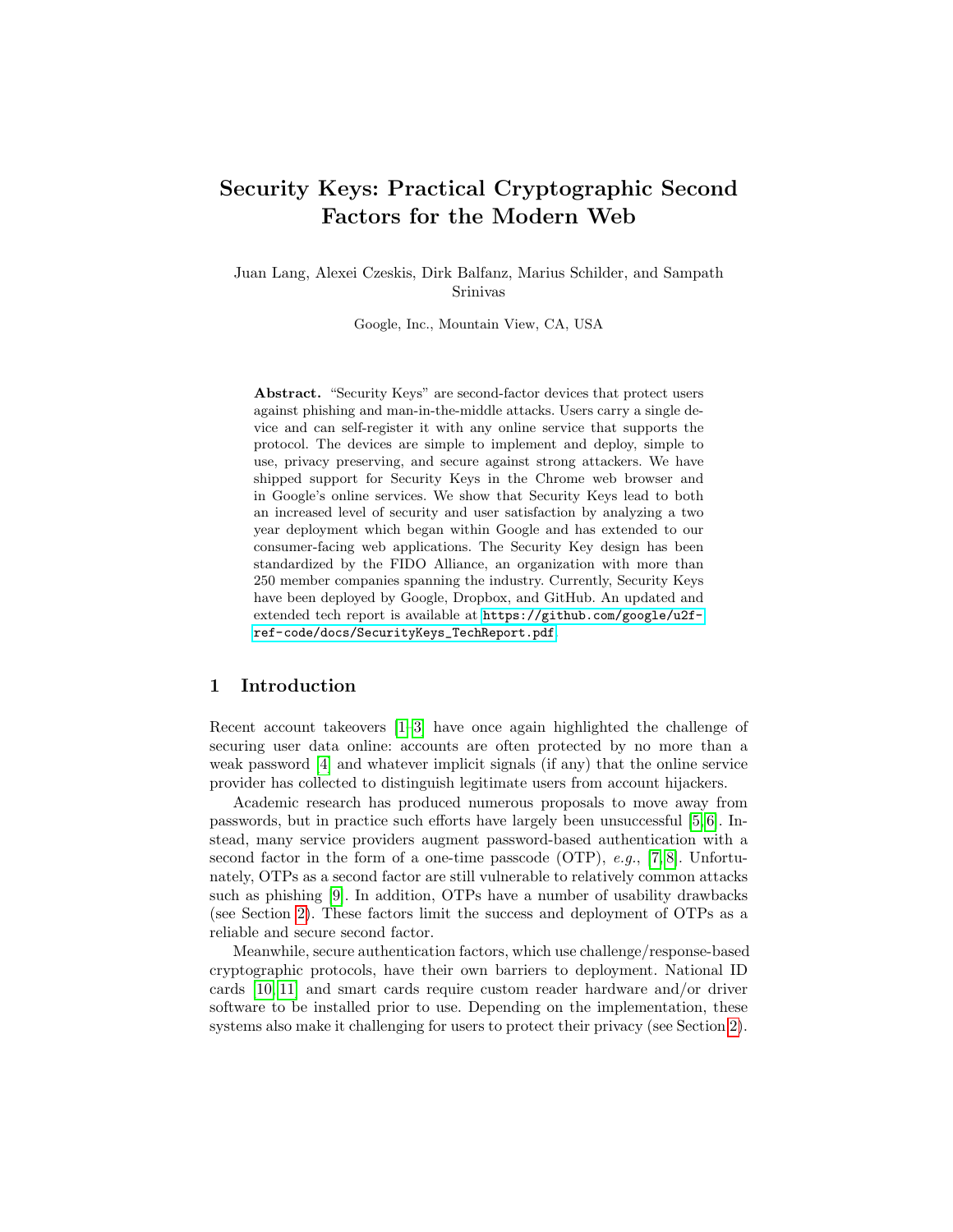# Security Keys: Practical Cryptographic Second Factors for the Modern Web

Juan Lang, Alexei Czeskis, Dirk Balfanz, Marius Schilder, and Sampath Srinivas

Google, Inc., Mountain View, CA, USA

Abstract. "Security Keys" are second-factor devices that protect users against phishing and man-in-the-middle attacks. Users carry a single device and can self-register it with any online service that supports the protocol. The devices are simple to implement and deploy, simple to use, privacy preserving, and secure against strong attackers. We have shipped support for Security Keys in the Chrome web browser and in Google's online services. We show that Security Keys lead to both an increased level of security and user satisfaction by analyzing a two year deployment which began within Google and has extended to our consumer-facing web applications. The Security Key design has been standardized by the FIDO Alliance, an organization with more than 250 member companies spanning the industry. Currently, Security Keys have been deployed by Google, Dropbox, and GitHub. An updated and extended tech report is available at [https://github.com/google/u2f](https://github.com/google/u2f-ref-code/docs/SecurityKeys_TechReport.pdf)[ref-code/docs/SecurityKeys\\_TechReport.pdf](https://github.com/google/u2f-ref-code/docs/SecurityKeys_TechReport.pdf).

# 1 Introduction

Recent account takeovers [\[1–](#page-16-0)[3\]](#page-16-1) have once again highlighted the challenge of securing user data online: accounts are often protected by no more than a weak password [\[4\]](#page-16-2) and whatever implicit signals (if any) that the online service provider has collected to distinguish legitimate users from account hijackers.

Academic research has produced numerous proposals to move away from passwords, but in practice such efforts have largely been unsuccessful [\[5,](#page-16-3) [6\]](#page-16-4). Instead, many service providers augment password-based authentication with a second factor in the form of a one-time passcode  $(OTP)$ , e.g., [\[7,](#page-16-5)8]. Unfortunately, OTPs as a second factor are still vulnerable to relatively common attacks such as phishing [\[9\]](#page-16-7). In addition, OTPs have a number of usability drawbacks (see Section [2\)](#page-1-0). These factors limit the success and deployment of OTPs as a reliable and secure second factor.

Meanwhile, secure authentication factors, which use challenge/response-based cryptographic protocols, have their own barriers to deployment. National ID cards [\[10,](#page-16-8) [11\]](#page-16-9) and smart cards require custom reader hardware and/or driver software to be installed prior to use. Depending on the implementation, these systems also make it challenging for users to protect their privacy (see Section [2\)](#page-1-0).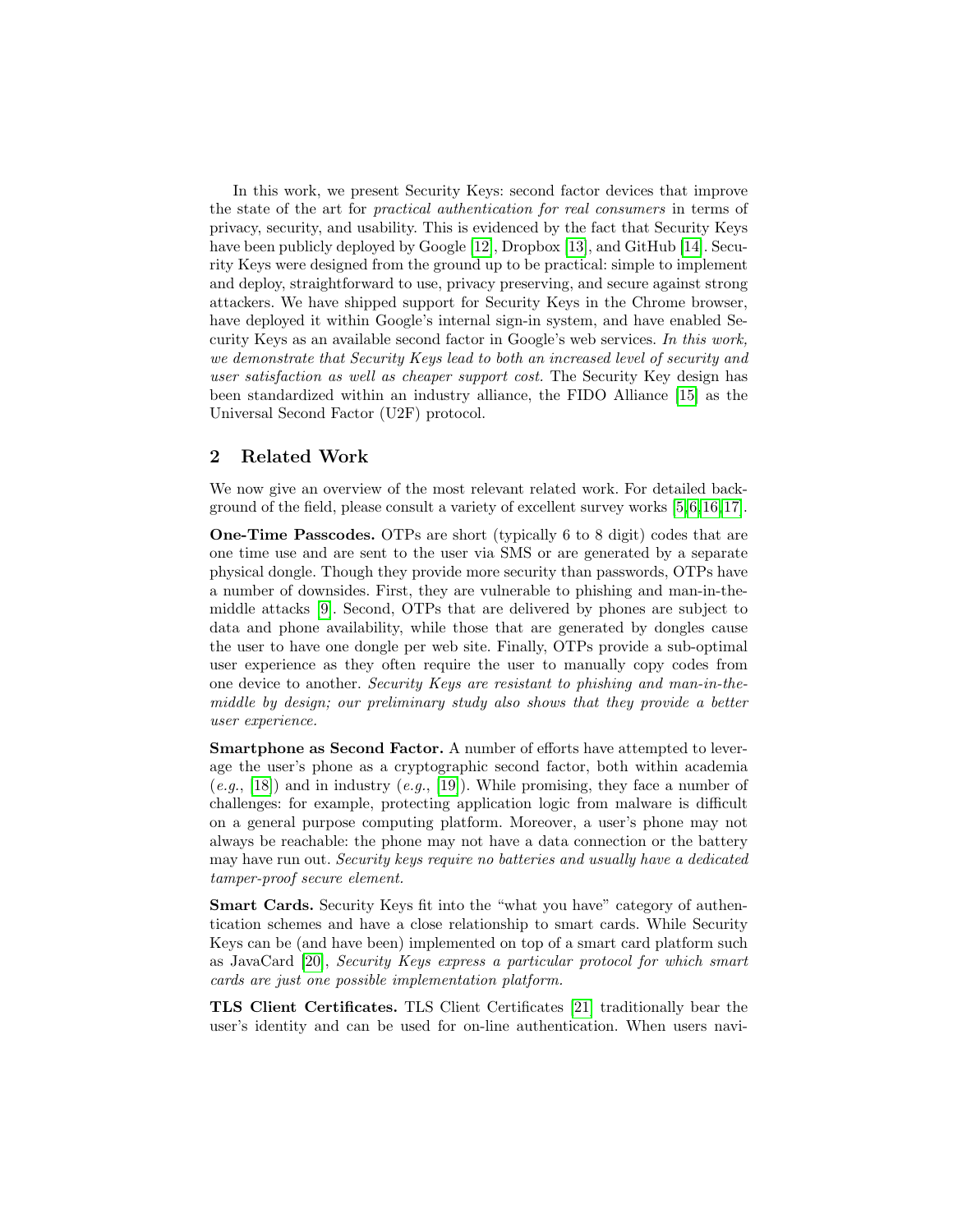In this work, we present Security Keys: second factor devices that improve the state of the art for practical authentication for real consumers in terms of privacy, security, and usability. This is evidenced by the fact that Security Keys have been publicly deployed by Google [\[12\]](#page-16-10), Dropbox [\[13\]](#page-16-11), and GitHub [\[14\]](#page-16-12). Security Keys were designed from the ground up to be practical: simple to implement and deploy, straightforward to use, privacy preserving, and secure against strong attackers. We have shipped support for Security Keys in the Chrome browser, have deployed it within Google's internal sign-in system, and have enabled Security Keys as an available second factor in Google's web services. In this work, we demonstrate that Security Keys lead to both an increased level of security and user satisfaction as well as cheaper support cost. The Security Key design has been standardized within an industry alliance, the FIDO Alliance [\[15\]](#page-16-13) as the Universal Second Factor (U2F) protocol.

# <span id="page-1-0"></span>2 Related Work

We now give an overview of the most relevant related work. For detailed background of the field, please consult a variety of excellent survey works [\[5,](#page-16-3)[6,](#page-16-4)[16,](#page-16-14)[17\]](#page-17-0).

One-Time Passcodes. OTPs are short (typically 6 to 8 digit) codes that are one time use and are sent to the user via SMS or are generated by a separate physical dongle. Though they provide more security than passwords, OTPs have a number of downsides. First, they are vulnerable to phishing and man-in-themiddle attacks [\[9\]](#page-16-7). Second, OTPs that are delivered by phones are subject to data and phone availability, while those that are generated by dongles cause the user to have one dongle per web site. Finally, OTPs provide a sub-optimal user experience as they often require the user to manually copy codes from one device to another. Security Keys are resistant to phishing and man-in-themiddle by design; our preliminary study also shows that they provide a better user experience.

Smartphone as Second Factor. A number of efforts have attempted to leverage the user's phone as a cryptographic second factor, both within academia  $(e.g., [18])$  $(e.g., [18])$  $(e.g., [18])$  and in industry  $(e.g., [19])$  $(e.g., [19])$  $(e.g., [19])$ . While promising, they face a number of challenges: for example, protecting application logic from malware is difficult on a general purpose computing platform. Moreover, a user's phone may not always be reachable: the phone may not have a data connection or the battery may have run out. Security keys require no batteries and usually have a dedicated tamper-proof secure element.

Smart Cards. Security Keys fit into the "what you have" category of authentication schemes and have a close relationship to smart cards. While Security Keys can be (and have been) implemented on top of a smart card platform such as JavaCard [\[20\]](#page-17-3), Security Keys express a particular protocol for which smart cards are just one possible implementation platform.

TLS Client Certificates. TLS Client Certificates [\[21\]](#page-17-4) traditionally bear the user's identity and can be used for on-line authentication. When users navi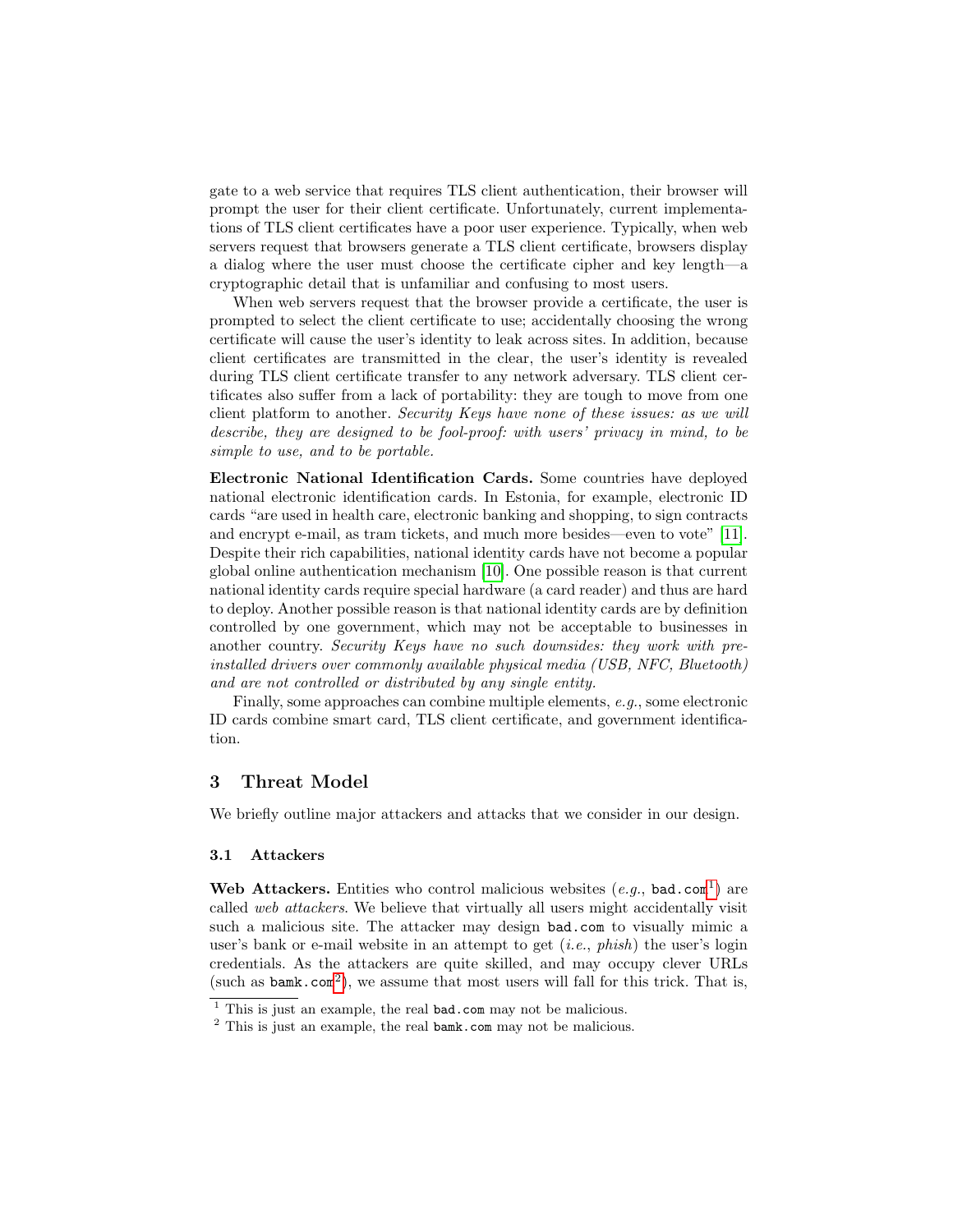gate to a web service that requires TLS client authentication, their browser will prompt the user for their client certificate. Unfortunately, current implementations of TLS client certificates have a poor user experience. Typically, when web servers request that browsers generate a TLS client certificate, browsers display a dialog where the user must choose the certificate cipher and key length—a cryptographic detail that is unfamiliar and confusing to most users.

When web servers request that the browser provide a certificate, the user is prompted to select the client certificate to use; accidentally choosing the wrong certificate will cause the user's identity to leak across sites. In addition, because client certificates are transmitted in the clear, the user's identity is revealed during TLS client certificate transfer to any network adversary. TLS client certificates also suffer from a lack of portability: they are tough to move from one client platform to another. Security Keys have none of these issues: as we will describe, they are designed to be fool-proof: with users' privacy in mind, to be simple to use, and to be portable.

Electronic National Identification Cards. Some countries have deployed national electronic identification cards. In Estonia, for example, electronic ID cards "are used in health care, electronic banking and shopping, to sign contracts and encrypt e-mail, as tram tickets, and much more besides—even to vote" [\[11\]](#page-16-9). Despite their rich capabilities, national identity cards have not become a popular global online authentication mechanism [\[10\]](#page-16-8). One possible reason is that current national identity cards require special hardware (a card reader) and thus are hard to deploy. Another possible reason is that national identity cards are by definition controlled by one government, which may not be acceptable to businesses in another country. Security Keys have no such downsides: they work with preinstalled drivers over commonly available physical media (USB, NFC, Bluetooth) and are not controlled or distributed by any single entity.

Finally, some approaches can combine multiple elements, e.g., some electronic ID cards combine smart card, TLS client certificate, and government identification.

# 3 Threat Model

We briefly outline major attackers and attacks that we consider in our design.

#### 3.1 Attackers

Web Attackers. Entities who control malicious websites  $(e.g., \text{bad.com}^1)$  $(e.g., \text{bad.com}^1)$  $(e.g., \text{bad.com}^1)$  are called web attackers. We believe that virtually all users might accidentally visit such a malicious site. The attacker may design bad.com to visually mimic a user's bank or e-mail website in an attempt to get  $(i.e., *phish*)$  the user's login credentials. As the attackers are quite skilled, and may occupy clever URLs (such as bamk.com[2](#page-2-1) ), we assume that most users will fall for this trick. That is,

<span id="page-2-0"></span> $1$  This is just an example, the real bad.com may not be malicious.

<span id="page-2-1"></span><sup>&</sup>lt;sup>2</sup> This is just an example, the real bamk.com may not be malicious.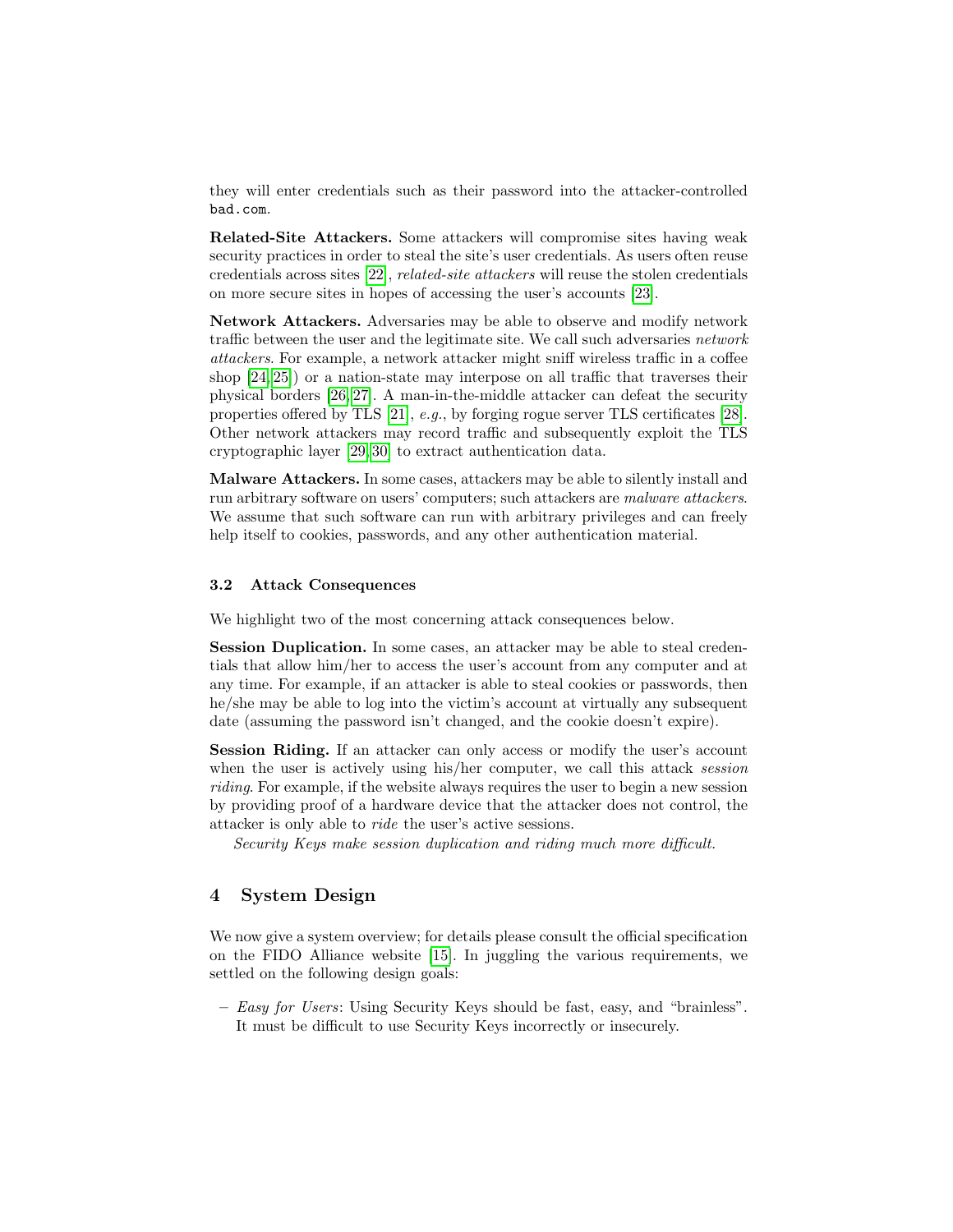they will enter credentials such as their password into the attacker-controlled bad.com.

Related-Site Attackers. Some attackers will compromise sites having weak security practices in order to steal the site's user credentials. As users often reuse credentials across sites [\[22\]](#page-17-5), related-site attackers will reuse the stolen credentials on more secure sites in hopes of accessing the user's accounts [\[23\]](#page-17-6).

Network Attackers. Adversaries may be able to observe and modify network traffic between the user and the legitimate site. We call such adversaries network attackers. For example, a network attacker might sniff wireless traffic in a coffee shop [\[24,](#page-17-7) [25\]](#page-17-8)) or a nation-state may interpose on all traffic that traverses their physical borders [\[26,](#page-17-9) [27\]](#page-17-10). A man-in-the-middle attacker can defeat the security properties offered by TLS [\[21\]](#page-17-4), e.g., by forging rogue server TLS certificates [\[28\]](#page-17-11). Other network attackers may record traffic and subsequently exploit the TLS cryptographic layer [\[29,](#page-17-12) [30\]](#page-17-13) to extract authentication data.

Malware Attackers. In some cases, attackers may be able to silently install and run arbitrary software on users' computers; such attackers are malware attackers. We assume that such software can run with arbitrary privileges and can freely help itself to cookies, passwords, and any other authentication material.

#### 3.2 Attack Consequences

We highlight two of the most concerning attack consequences below.

Session Duplication. In some cases, an attacker may be able to steal credentials that allow him/her to access the user's account from any computer and at any time. For example, if an attacker is able to steal cookies or passwords, then he/she may be able to log into the victim's account at virtually any subsequent date (assuming the password isn't changed, and the cookie doesn't expire).

Session Riding. If an attacker can only access or modify the user's account when the user is actively using his/her computer, we call this attack session riding. For example, if the website always requires the user to begin a new session by providing proof of a hardware device that the attacker does not control, the attacker is only able to ride the user's active sessions.

Security Keys make session duplication and riding much more difficult.

# 4 System Design

We now give a system overview; for details please consult the official specification on the FIDO Alliance website [\[15\]](#page-16-13). In juggling the various requirements, we settled on the following design goals:

– Easy for Users: Using Security Keys should be fast, easy, and "brainless". It must be difficult to use Security Keys incorrectly or insecurely.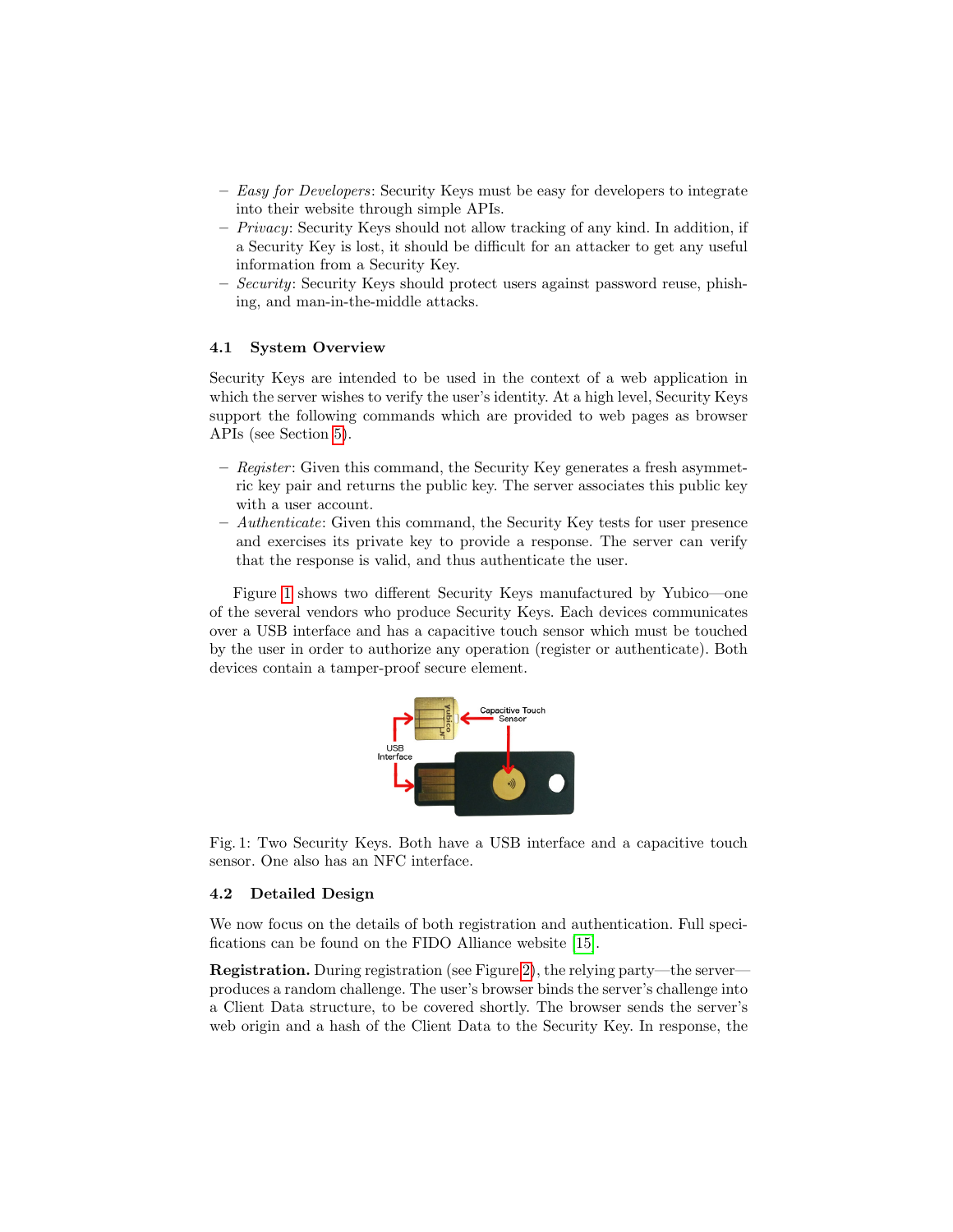- Easy for Developers: Security Keys must be easy for developers to integrate into their website through simple APIs.
- Privacy: Security Keys should not allow tracking of any kind. In addition, if a Security Key is lost, it should be difficult for an attacker to get any useful information from a Security Key.
- Security: Security Keys should protect users against password reuse, phishing, and man-in-the-middle attacks.

#### 4.1 System Overview

Security Keys are intended to be used in the context of a web application in which the server wishes to verify the user's identity. At a high level, Security Keys support the following commands which are provided to web pages as browser APIs (see Section [5\)](#page-6-0).

- $–$  Register: Given this command, the Security Key generates a fresh asymmetric key pair and returns the public key. The server associates this public key with a user account.
- $-$  Authenticate: Given this command, the Security Key tests for user presence and exercises its private key to provide a response. The server can verify that the response is valid, and thus authenticate the user.

<span id="page-4-0"></span>Figure [1](#page-4-0) shows two different Security Keys manufactured by Yubico—one of the several vendors who produce Security Keys. Each devices communicates over a USB interface and has a capacitive touch sensor which must be touched by the user in order to authorize any operation (register or authenticate). Both devices contain a tamper-proof secure element.



Fig. 1: Two Security Keys. Both have a USB interface and a capacitive touch sensor. One also has an NFC interface.

#### 4.2 Detailed Design

We now focus on the details of both registration and authentication. Full specifications can be found on the FIDO Alliance website [\[15\]](#page-16-13).

Registration. During registration (see Figure [2\)](#page-5-0), the relying party—the server produces a random challenge. The user's browser binds the server's challenge into a Client Data structure, to be covered shortly. The browser sends the server's web origin and a hash of the Client Data to the Security Key. In response, the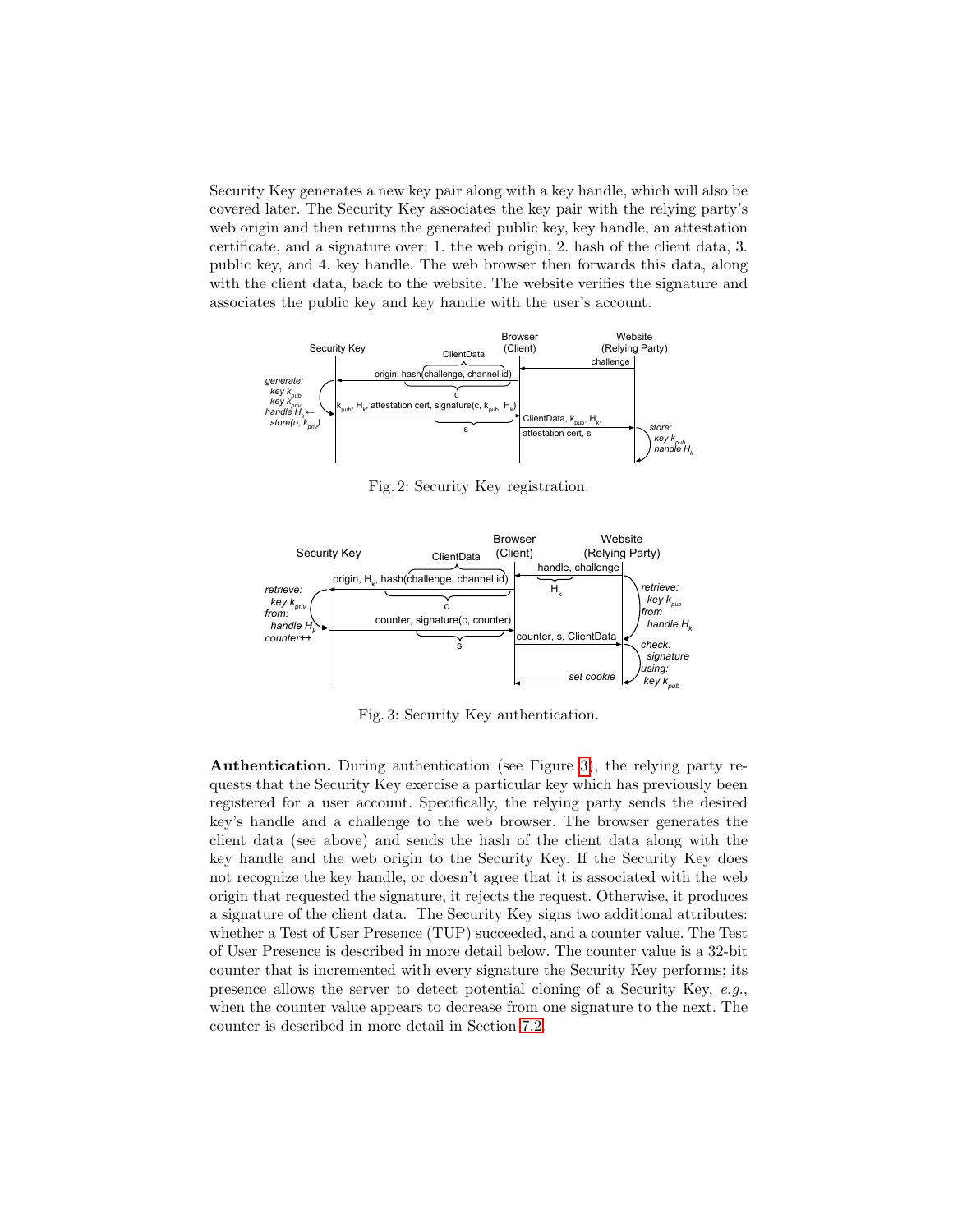Security Key generates a new key pair along with a key handle, which will also be covered later. The Security Key associates the key pair with the relying party's web origin and then returns the generated public key, key handle, an attestation certificate, and a signature over: 1. the web origin, 2. hash of the client data, 3. public key, and 4. key handle. The web browser then forwards this data, along with the client data, back to the website. The website verifies the signature and associates the public key and key handle with the user's account.

<span id="page-5-0"></span>

Fig. 2: Security Key registration.

<span id="page-5-1"></span>

Fig. 3: Security Key authentication.

Authentication. During authentication (see Figure [3\)](#page-5-1), the relying party requests that the Security Key exercise a particular key which has previously been registered for a user account. Specifically, the relying party sends the desired key's handle and a challenge to the web browser. The browser generates the client data (see above) and sends the hash of the client data along with the key handle and the web origin to the Security Key. If the Security Key does not recognize the key handle, or doesn't agree that it is associated with the web origin that requested the signature, it rejects the request. Otherwise, it produces a signature of the client data. The Security Key signs two additional attributes: whether a Test of User Presence (TUP) succeeded, and a counter value. The Test of User Presence is described in more detail below. The counter value is a 32-bit counter that is incremented with every signature the Security Key performs; its presence allows the server to detect potential cloning of a Security Key, e.g., when the counter value appears to decrease from one signature to the next. The counter is described in more detail in Section [7.2.](#page-15-0)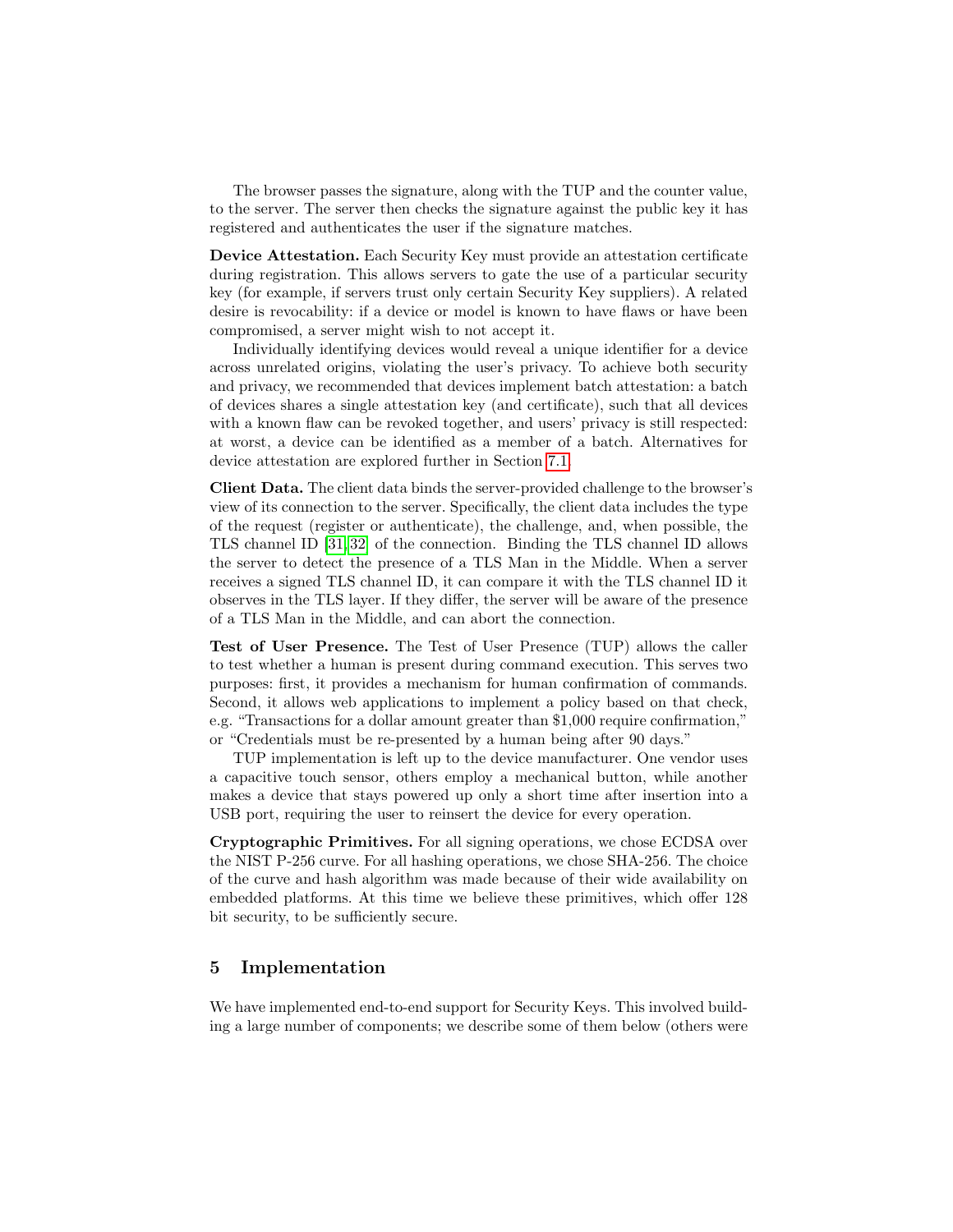The browser passes the signature, along with the TUP and the counter value, to the server. The server then checks the signature against the public key it has registered and authenticates the user if the signature matches.

Device Attestation. Each Security Key must provide an attestation certificate during registration. This allows servers to gate the use of a particular security key (for example, if servers trust only certain Security Key suppliers). A related desire is revocability: if a device or model is known to have flaws or have been compromised, a server might wish to not accept it.

Individually identifying devices would reveal a unique identifier for a device across unrelated origins, violating the user's privacy. To achieve both security and privacy, we recommended that devices implement batch attestation: a batch of devices shares a single attestation key (and certificate), such that all devices with a known flaw can be revoked together, and users' privacy is still respected: at worst, a device can be identified as a member of a batch. Alternatives for device attestation are explored further in Section [7.1.](#page-14-0)

Client Data. The client data binds the server-provided challenge to the browser's view of its connection to the server. Specifically, the client data includes the type of the request (register or authenticate), the challenge, and, when possible, the TLS channel ID [\[31,](#page-17-14) [32\]](#page-17-15) of the connection. Binding the TLS channel ID allows the server to detect the presence of a TLS Man in the Middle. When a server receives a signed TLS channel ID, it can compare it with the TLS channel ID it observes in the TLS layer. If they differ, the server will be aware of the presence of a TLS Man in the Middle, and can abort the connection.

Test of User Presence. The Test of User Presence (TUP) allows the caller to test whether a human is present during command execution. This serves two purposes: first, it provides a mechanism for human confirmation of commands. Second, it allows web applications to implement a policy based on that check, e.g. "Transactions for a dollar amount greater than \$1,000 require confirmation," or "Credentials must be re-presented by a human being after 90 days."

TUP implementation is left up to the device manufacturer. One vendor uses a capacitive touch sensor, others employ a mechanical button, while another makes a device that stays powered up only a short time after insertion into a USB port, requiring the user to reinsert the device for every operation.

Cryptographic Primitives. For all signing operations, we chose ECDSA over the NIST P-256 curve. For all hashing operations, we chose SHA-256. The choice of the curve and hash algorithm was made because of their wide availability on embedded platforms. At this time we believe these primitives, which offer 128 bit security, to be sufficiently secure.

# <span id="page-6-0"></span>5 Implementation

We have implemented end-to-end support for Security Keys. This involved building a large number of components; we describe some of them below (others were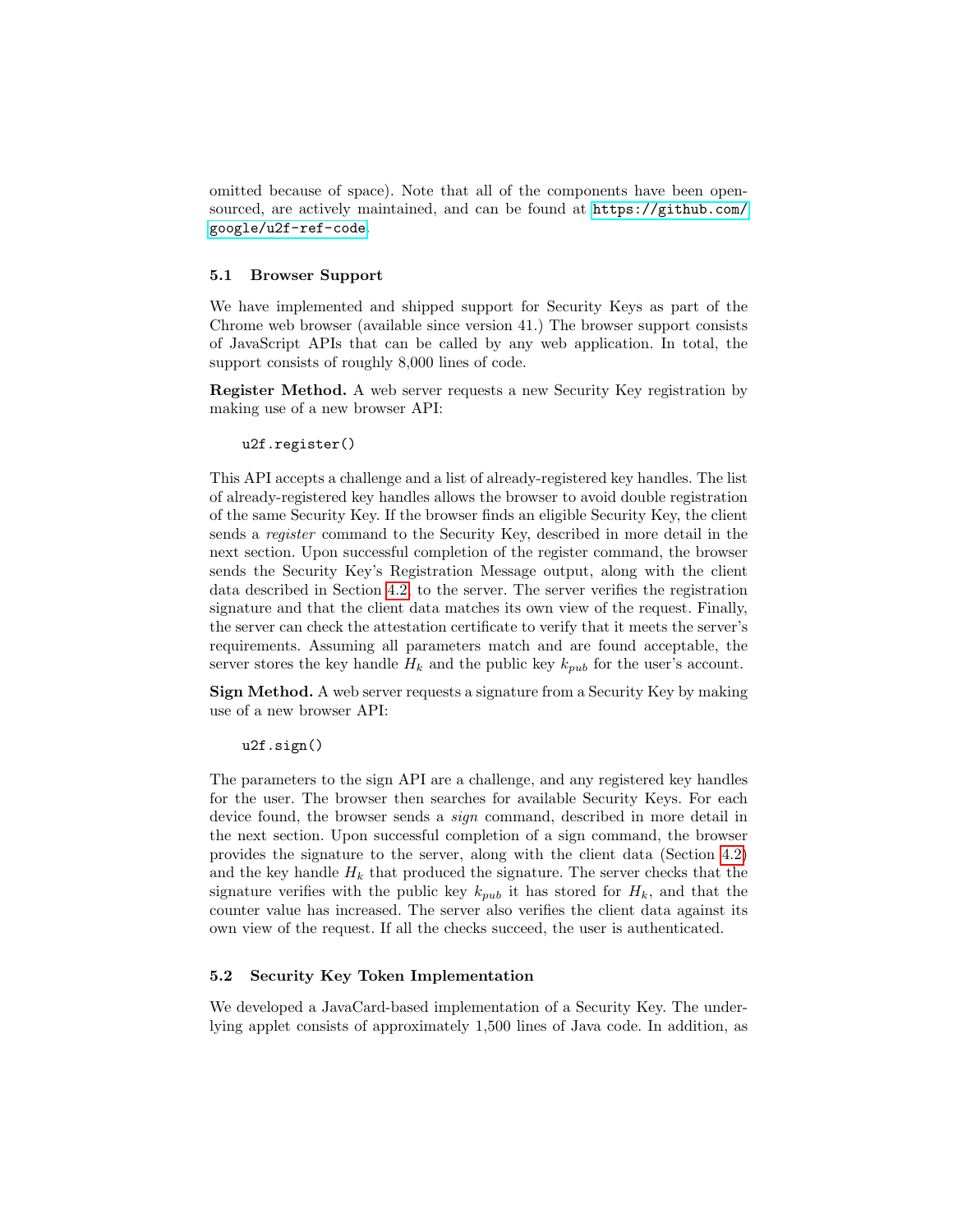omitted because of space). Note that all of the components have been opensourced, are actively maintained, and can be found at [https://github.com/](https://github.com/google/u2f-ref-code) [google/u2f-ref-code](https://github.com/google/u2f-ref-code).

#### 5.1 Browser Support

We have implemented and shipped support for Security Keys as part of the Chrome web browser (available since version 41.) The browser support consists of JavaScript APIs that can be called by any web application. In total, the support consists of roughly 8,000 lines of code.

Register Method. A web server requests a new Security Key registration by making use of a new browser API:

```
u2f.register()
```
This API accepts a challenge and a list of already-registered key handles. The list of already-registered key handles allows the browser to avoid double registration of the same Security Key. If the browser finds an eligible Security Key, the client sends a register command to the Security Key, described in more detail in the next section. Upon successful completion of the register command, the browser sends the Security Key's Registration Message output, along with the client data described in Section [4.2,](#page-5-1) to the server. The server verifies the registration signature and that the client data matches its own view of the request. Finally, the server can check the attestation certificate to verify that it meets the server's requirements. Assuming all parameters match and are found acceptable, the server stores the key handle  $H_k$  and the public key  $k_{pub}$  for the user's account.

Sign Method. A web server requests a signature from a Security Key by making use of a new browser API:

#### u2f.sign()

The parameters to the sign API are a challenge, and any registered key handles for the user. The browser then searches for available Security Keys. For each device found, the browser sends a *sign* command, described in more detail in the next section. Upon successful completion of a sign command, the browser provides the signature to the server, along with the client data (Section [4.2\)](#page-5-1) and the key handle  $H_k$  that produced the signature. The server checks that the signature verifies with the public key  $k_{pub}$  it has stored for  $H_k$ , and that the counter value has increased. The server also verifies the client data against its own view of the request. If all the checks succeed, the user is authenticated.

## 5.2 Security Key Token Implementation

We developed a JavaCard-based implementation of a Security Key. The underlying applet consists of approximately 1,500 lines of Java code. In addition, as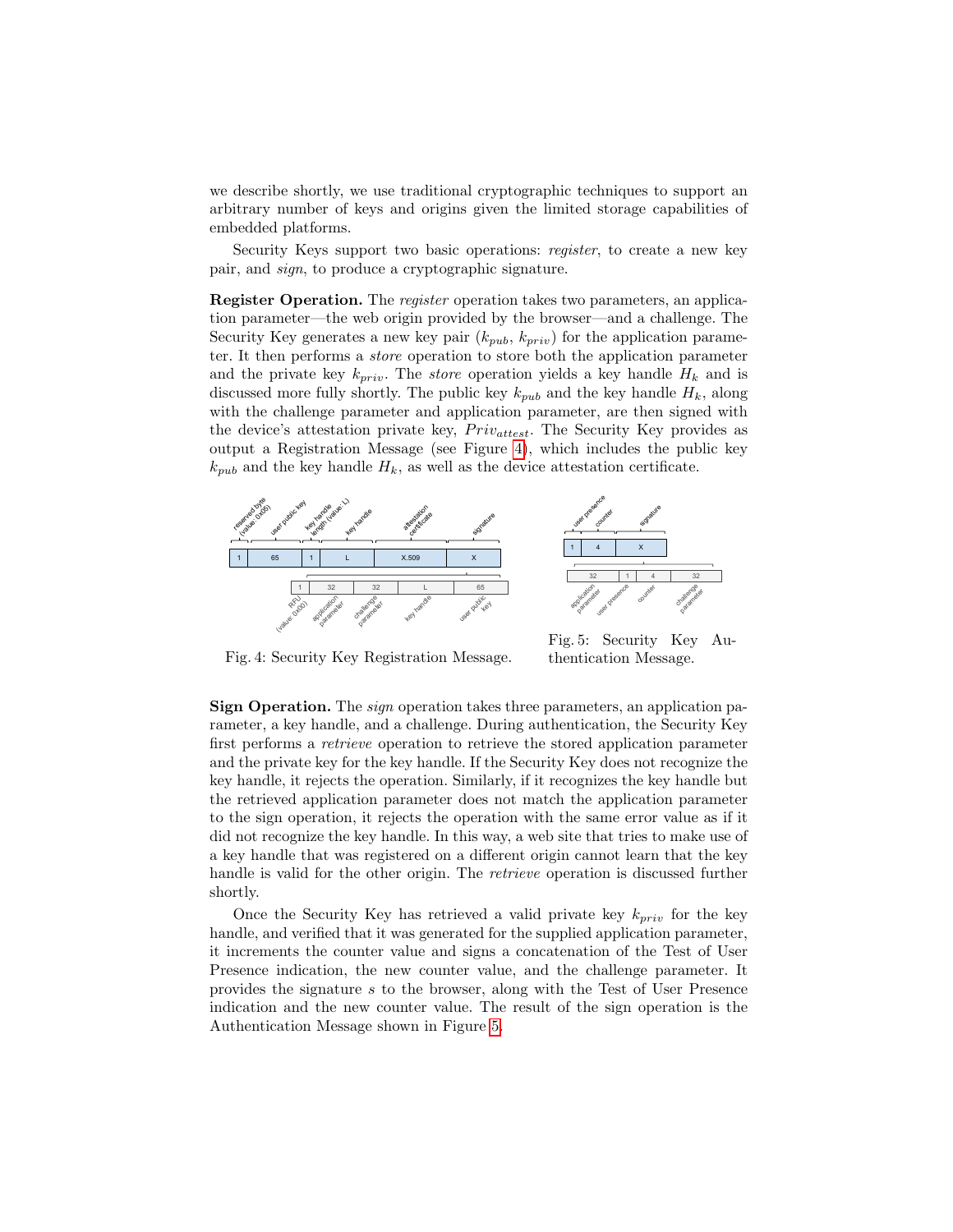we describe shortly, we use traditional cryptographic techniques to support an arbitrary number of keys and origins given the limited storage capabilities of embedded platforms.

Security Keys support two basic operations: register, to create a new key pair, and sign, to produce a cryptographic signature.

Register Operation. The register operation takes two parameters, an application parameter—the web origin provided by the browser—and a challenge. The Security Key generates a new key pair  $(k_{pub}, k_{priv})$  for the application parameter. It then performs a store operation to store both the application parameter and the private key  $k_{priv}$ . The *store* operation yields a key handle  $H_k$  and is discussed more fully shortly. The public key  $k_{pub}$  and the key handle  $H_k$ , along with the challenge parameter and application parameter, are then signed with the device's attestation private key,  $Priv_{attest}$ . The Security Key provides as output a Registration Message (see Figure [4\)](#page-8-0), which includes the public key  $k_{pub}$  and the key handle  $H_k$ , as well as the device attestation certificate.

<span id="page-8-0"></span>

Fig. 4: Security Key Registration Message.

Fig. 5: Security Key Authentication Message.

**Sign Operation.** The *sign* operation takes three parameters, an application parameter, a key handle, and a challenge. During authentication, the Security Key first performs a retrieve operation to retrieve the stored application parameter and the private key for the key handle. If the Security Key does not recognize the key handle, it rejects the operation. Similarly, if it recognizes the key handle but the retrieved application parameter does not match the application parameter to the sign operation, it rejects the operation with the same error value as if it did not recognize the key handle. In this way, a web site that tries to make use of a key handle that was registered on a different origin cannot learn that the key handle is valid for the other origin. The *retrieve* operation is discussed further shortly.

Once the Security Key has retrieved a valid private key  $k_{priv}$  for the key handle, and verified that it was generated for the supplied application parameter, it increments the counter value and signs a concatenation of the Test of User Presence indication, the new counter value, and the challenge parameter. It provides the signature s to the browser, along with the Test of User Presence indication and the new counter value. The result of the sign operation is the Authentication Message shown in Figure [5.](#page-8-0)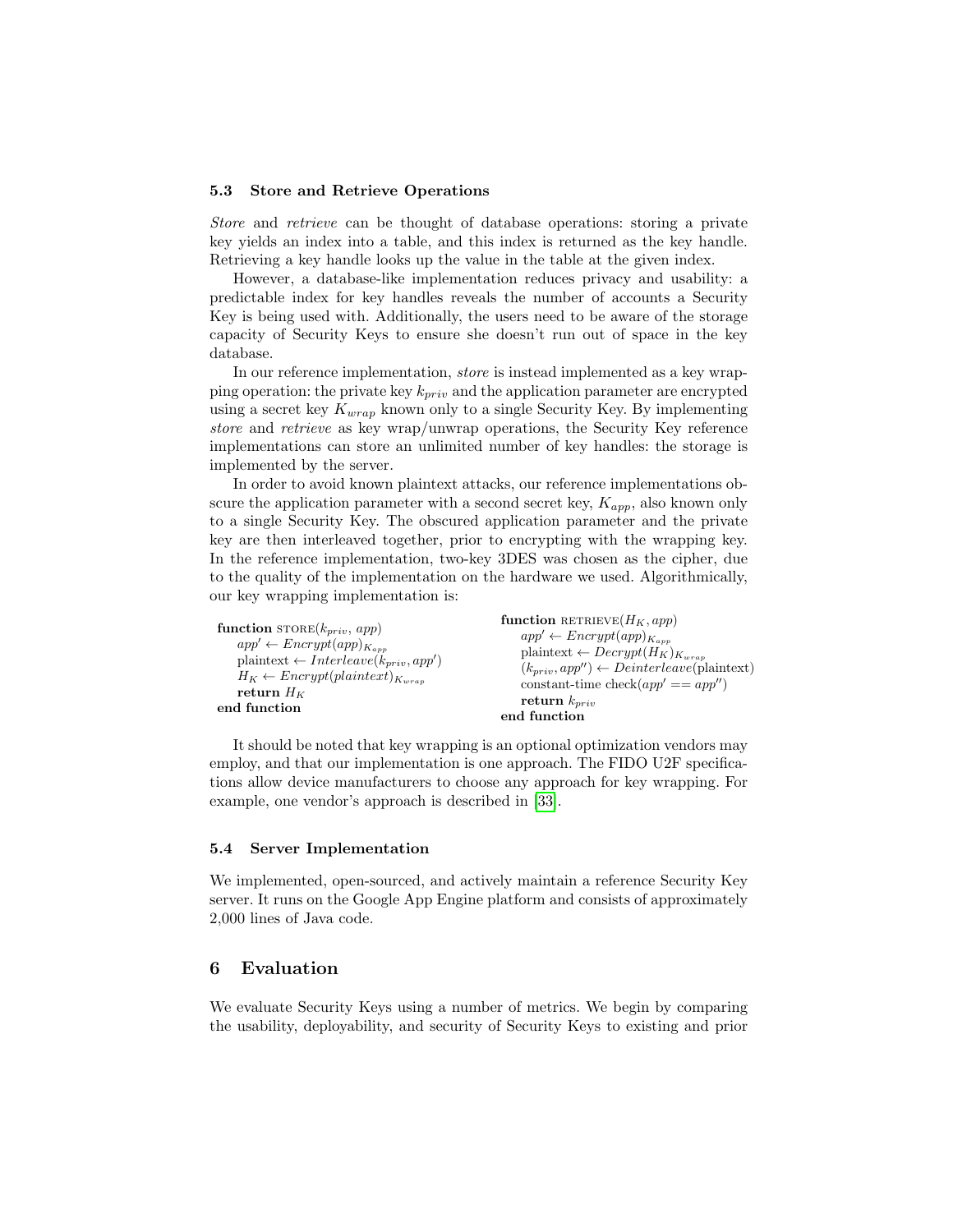#### 5.3 Store and Retrieve Operations

Store and retrieve can be thought of database operations: storing a private key yields an index into a table, and this index is returned as the key handle. Retrieving a key handle looks up the value in the table at the given index.

However, a database-like implementation reduces privacy and usability: a predictable index for key handles reveals the number of accounts a Security Key is being used with. Additionally, the users need to be aware of the storage capacity of Security Keys to ensure she doesn't run out of space in the key database.

In our reference implementation, store is instead implemented as a key wrapping operation: the private key  $k_{priv}$  and the application parameter are encrypted using a secret key  $K_{wrap}$  known only to a single Security Key. By implementing store and retrieve as key wrap/unwrap operations, the Security Key reference implementations can store an unlimited number of key handles: the storage is implemented by the server.

In order to avoid known plaintext attacks, our reference implementations obscure the application parameter with a second secret key,  $K_{app}$ , also known only to a single Security Key. The obscured application parameter and the private key are then interleaved together, prior to encrypting with the wrapping key. In the reference implementation, two-key 3DES was chosen as the cipher, due to the quality of the implementation on the hardware we used. Algorithmically, our key wrapping implementation is:

| function $\text{space}(k_{priv}, app)$<br>$app' \leftarrow \text{Encrypt}(app)_{K_{app}}$<br>$\text{plaintext} \leftarrow \text{Interleave}(k_{priv}, app')$<br>$H_K \leftarrow \text{Encrypt}(plaintext)_{K_{wrap}}$<br>return $H_K$<br>end function | function RETRIEVE $(H_K, app)$<br>$app' \leftarrow \text{Encrypt}(app)_{K_{app}}$<br>plaintext $\leftarrow$ <i>Decrypt</i> $(H_K)_{K_{wras}}$<br>$(k_{priv}, app'') \leftarrow Deinterleave(\text{plaintext})$<br>constant-time check $(app' == app'')$<br>return $k_{priv}$<br>end function |
|-------------------------------------------------------------------------------------------------------------------------------------------------------------------------------------------------------------------------------------------------------|----------------------------------------------------------------------------------------------------------------------------------------------------------------------------------------------------------------------------------------------------------------------------------------------|
|-------------------------------------------------------------------------------------------------------------------------------------------------------------------------------------------------------------------------------------------------------|----------------------------------------------------------------------------------------------------------------------------------------------------------------------------------------------------------------------------------------------------------------------------------------------|

It should be noted that key wrapping is an optional optimization vendors may employ, and that our implementation is one approach. The FIDO U2F specifications allow device manufacturers to choose any approach for key wrapping. For example, one vendor's approach is described in [\[33\]](#page-17-16).

#### 5.4 Server Implementation

We implemented, open-sourced, and actively maintain a reference Security Key server. It runs on the Google App Engine platform and consists of approximately 2,000 lines of Java code.

### 6 Evaluation

We evaluate Security Keys using a number of metrics. We begin by comparing the usability, deployability, and security of Security Keys to existing and prior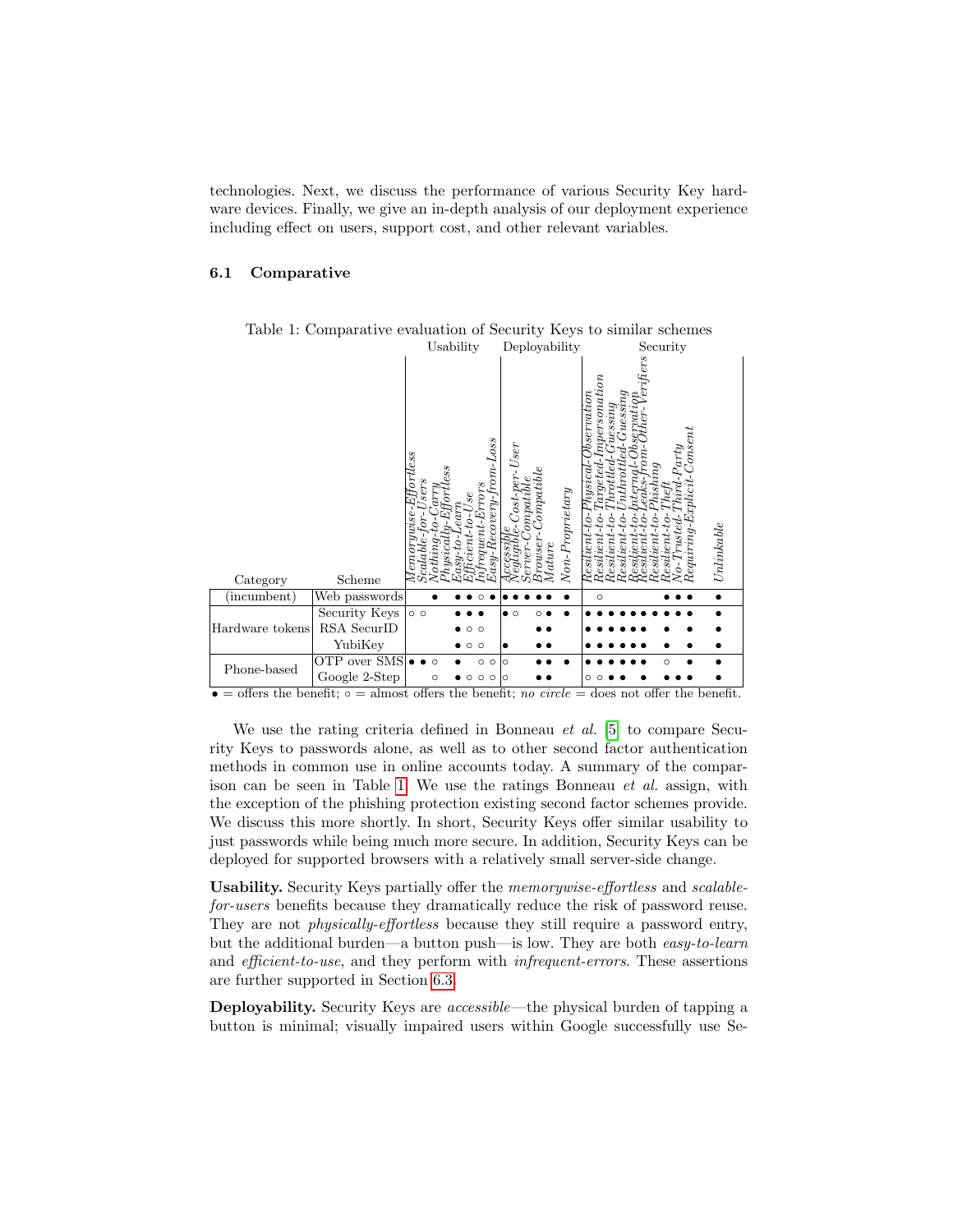technologies. Next, we discuss the performance of various Security Key hardware devices. Finally, we give an in-depth analysis of our deployment experience including effect on users, support cost, and other relevant variables.

#### <span id="page-10-0"></span>6.1 Comparative

|                                                                                                                     |                  |                 | USability                                                                | рерюуаршу                                                                                                            | becurity                                                                                                                               |  |
|---------------------------------------------------------------------------------------------------------------------|------------------|-----------------|--------------------------------------------------------------------------|----------------------------------------------------------------------------------------------------------------------|----------------------------------------------------------------------------------------------------------------------------------------|--|
|                                                                                                                     |                  | ortless         | 5807<br>-rom-<br>$s$ e<br>Recovery-<br>cient-to-<br>$request$ -<br>$su-$ | User<br><sup>7</sup> ompatible<br>-Compatible<br>$Non-Proprietary$<br>$Cost-$<br>$3 \nrows e \n$<br>erver-<br>Mature | vers<br>.<br>$s$ ervation<br>ssing<br>$_{consent}$<br>grty<br>nysu<br>Unlinkable<br>$\it{Required}$<br>ent<br>ent<br>E<br>esil<br>tesu |  |
| Category                                                                                                            | Scheme           |                 |                                                                          |                                                                                                                      | جم                                                                                                                                     |  |
| (incumbent)                                                                                                         | Web passwords    |                 |                                                                          |                                                                                                                      | $\circ$                                                                                                                                |  |
|                                                                                                                     | Security Keys    | $\circ$ $\circ$ |                                                                          | $\bullet$ $\circ$                                                                                                    |                                                                                                                                        |  |
| Hardware tokens                                                                                                     | RSA SecurID      |                 | $\circ$<br>O                                                             |                                                                                                                      |                                                                                                                                        |  |
|                                                                                                                     | YubiKey          |                 | $\circ$ $\circ$                                                          |                                                                                                                      |                                                                                                                                        |  |
| Phone-based                                                                                                         | over SMS<br>OTP. | $\circ$         | $\circ$<br>$\circ$                                                       | lo                                                                                                                   |                                                                                                                                        |  |
|                                                                                                                     | Google 2-Step    | $\circ$         | $\bullet$ 0 0 0                                                          | Ιo                                                                                                                   | O                                                                                                                                      |  |
| $\bullet$ = offers the benefit; $\circ$ = almost offers the benefit; <i>no circle</i> = does not offer the benefit. |                  |                 |                                                                          |                                                                                                                      |                                                                                                                                        |  |

Table 1: Comparative evaluation of Security Keys to similar schemes  $U_{\text{eq}}$ bility Deployability  $S_{\ell}$ 

We use the rating criteria defined in Bonneau *et al.* [\[5\]](#page-16-3) to compare Security Keys to passwords alone, as well as to other second factor authentication methods in common use in online accounts today. A summary of the comparison can be seen in Table [1.](#page-10-0) We use the ratings Bonneau et al. assign, with the exception of the phishing protection existing second factor schemes provide. We discuss this more shortly. In short, Security Keys offer similar usability to just passwords while being much more secure. In addition, Security Keys can be deployed for supported browsers with a relatively small server-side change.

Usability. Security Keys partially offer the memorywise-effortless and scalablefor-users benefits because they dramatically reduce the risk of password reuse. They are not physically-effortless because they still require a password entry, but the additional burden—a button push—is low. They are both easy-to-learn and *efficient-to-use*, and they perform with *infrequent-errors*. These assertions are further supported in Section [6.3.](#page-11-0)

Deployability. Security Keys are accessible—the physical burden of tapping a button is minimal; visually impaired users within Google successfully use Se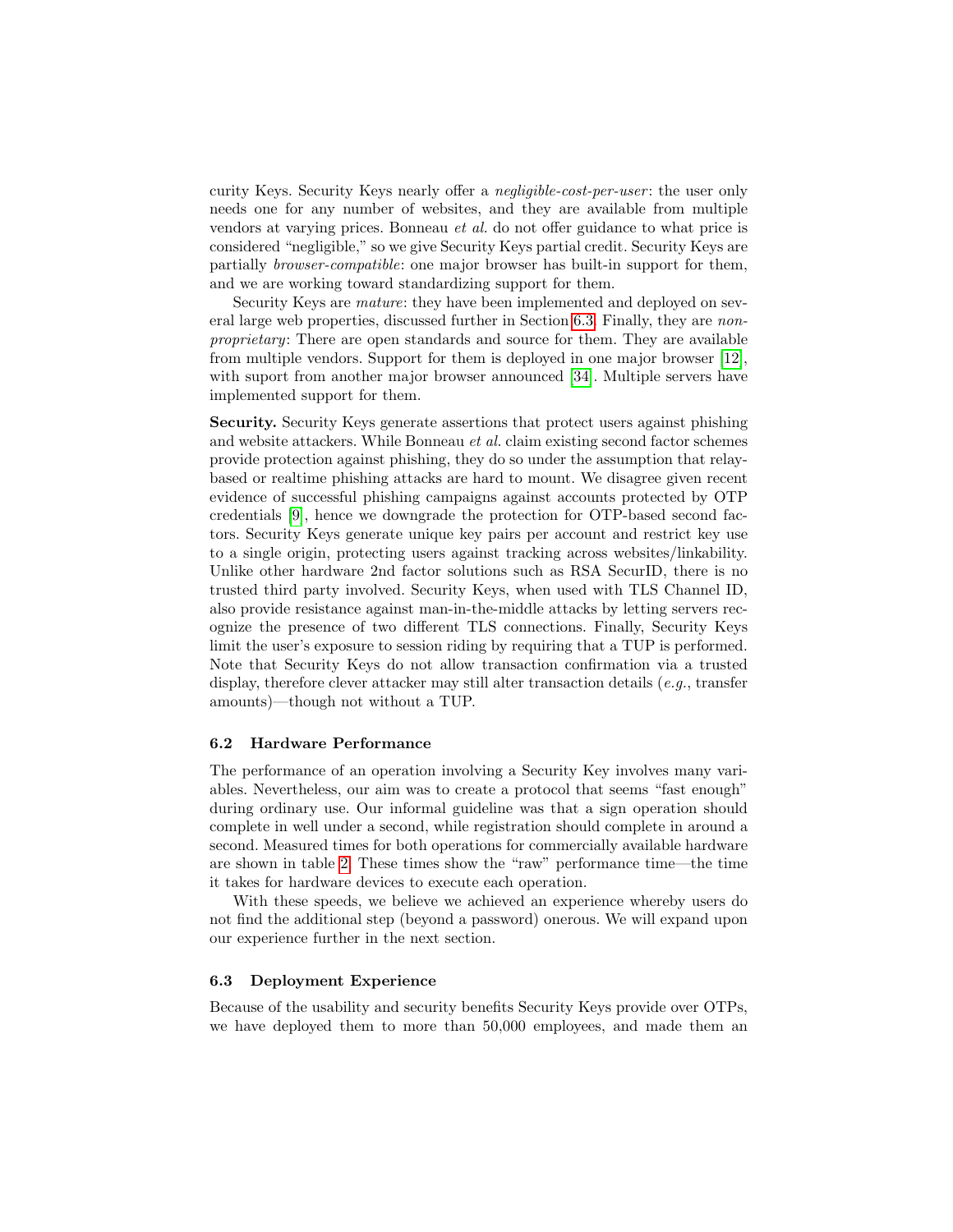curity Keys. Security Keys nearly offer a negligible-cost-per-user : the user only needs one for any number of websites, and they are available from multiple vendors at varying prices. Bonneau et al. do not offer guidance to what price is considered "negligible," so we give Security Keys partial credit. Security Keys are partially browser-compatible: one major browser has built-in support for them, and we are working toward standardizing support for them.

Security Keys are mature: they have been implemented and deployed on several large web properties, discussed further in Section [6.3.](#page-11-0) Finally, they are nonproprietary: There are open standards and source for them. They are available from multiple vendors. Support for them is deployed in one major browser [\[12\]](#page-16-10), with suport from another major browser announced [\[34\]](#page-17-17). Multiple servers have implemented support for them.

Security. Security Keys generate assertions that protect users against phishing and website attackers. While Bonneau et al. claim existing second factor schemes provide protection against phishing, they do so under the assumption that relaybased or realtime phishing attacks are hard to mount. We disagree given recent evidence of successful phishing campaigns against accounts protected by OTP credentials [\[9\]](#page-16-7), hence we downgrade the protection for OTP-based second factors. Security Keys generate unique key pairs per account and restrict key use to a single origin, protecting users against tracking across websites/linkability. Unlike other hardware 2nd factor solutions such as RSA SecurID, there is no trusted third party involved. Security Keys, when used with TLS Channel ID, also provide resistance against man-in-the-middle attacks by letting servers recognize the presence of two different TLS connections. Finally, Security Keys limit the user's exposure to session riding by requiring that a TUP is performed. Note that Security Keys do not allow transaction confirmation via a trusted display, therefore clever attacker may still alter transaction details (e.g., transfer amounts)—though not without a TUP.

# 6.2 Hardware Performance

The performance of an operation involving a Security Key involves many variables. Nevertheless, our aim was to create a protocol that seems "fast enough" during ordinary use. Our informal guideline was that a sign operation should complete in well under a second, while registration should complete in around a second. Measured times for both operations for commercially available hardware are shown in table [2.](#page-12-0) These times show the "raw" performance time—the time it takes for hardware devices to execute each operation.

With these speeds, we believe we achieved an experience whereby users do not find the additional step (beyond a password) onerous. We will expand upon our experience further in the next section.

#### <span id="page-11-0"></span>6.3 Deployment Experience

Because of the usability and security benefits Security Keys provide over OTPs, we have deployed them to more than 50,000 employees, and made them an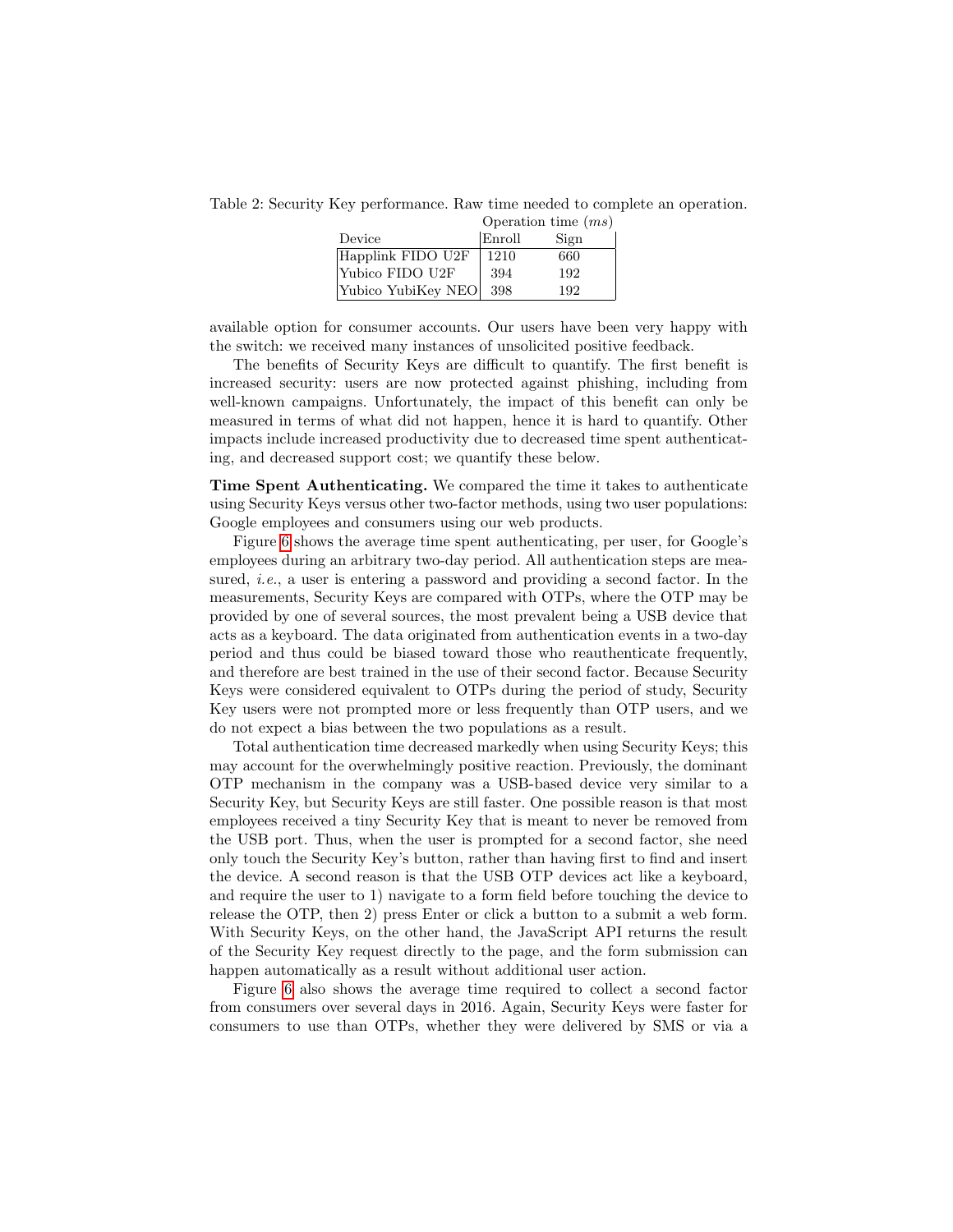<span id="page-12-0"></span>Table 2: Security Key performance. Raw time needed to complete an operation.

|                    | Operation time $(ms)$ |      |  |
|--------------------|-----------------------|------|--|
| Device             | Enroll                | Sign |  |
| Happlink FIDO U2F  | 1210                  | 660  |  |
| Yubico FIDO U2F    | 394                   | 192  |  |
| Yubico YubiKey NEO | 398                   | 192  |  |

available option for consumer accounts. Our users have been very happy with the switch: we received many instances of unsolicited positive feedback.

The benefits of Security Keys are difficult to quantify. The first benefit is increased security: users are now protected against phishing, including from well-known campaigns. Unfortunately, the impact of this benefit can only be measured in terms of what did not happen, hence it is hard to quantify. Other impacts include increased productivity due to decreased time spent authenticating, and decreased support cost; we quantify these below.

Time Spent Authenticating. We compared the time it takes to authenticate using Security Keys versus other two-factor methods, using two user populations: Google employees and consumers using our web products.

Figure [6](#page-13-0) shows the average time spent authenticating, per user, for Google's employees during an arbitrary two-day period. All authentication steps are measured, i.e., a user is entering a password and providing a second factor. In the measurements, Security Keys are compared with OTPs, where the OTP may be provided by one of several sources, the most prevalent being a USB device that acts as a keyboard. The data originated from authentication events in a two-day period and thus could be biased toward those who reauthenticate frequently, and therefore are best trained in the use of their second factor. Because Security Keys were considered equivalent to OTPs during the period of study, Security Key users were not prompted more or less frequently than OTP users, and we do not expect a bias between the two populations as a result.

Total authentication time decreased markedly when using Security Keys; this may account for the overwhelmingly positive reaction. Previously, the dominant OTP mechanism in the company was a USB-based device very similar to a Security Key, but Security Keys are still faster. One possible reason is that most employees received a tiny Security Key that is meant to never be removed from the USB port. Thus, when the user is prompted for a second factor, she need only touch the Security Key's button, rather than having first to find and insert the device. A second reason is that the USB OTP devices act like a keyboard, and require the user to 1) navigate to a form field before touching the device to release the OTP, then 2) press Enter or click a button to a submit a web form. With Security Keys, on the other hand, the JavaScript API returns the result of the Security Key request directly to the page, and the form submission can happen automatically as a result without additional user action.

Figure [6](#page-13-0) also shows the average time required to collect a second factor from consumers over several days in 2016. Again, Security Keys were faster for consumers to use than OTPs, whether they were delivered by SMS or via a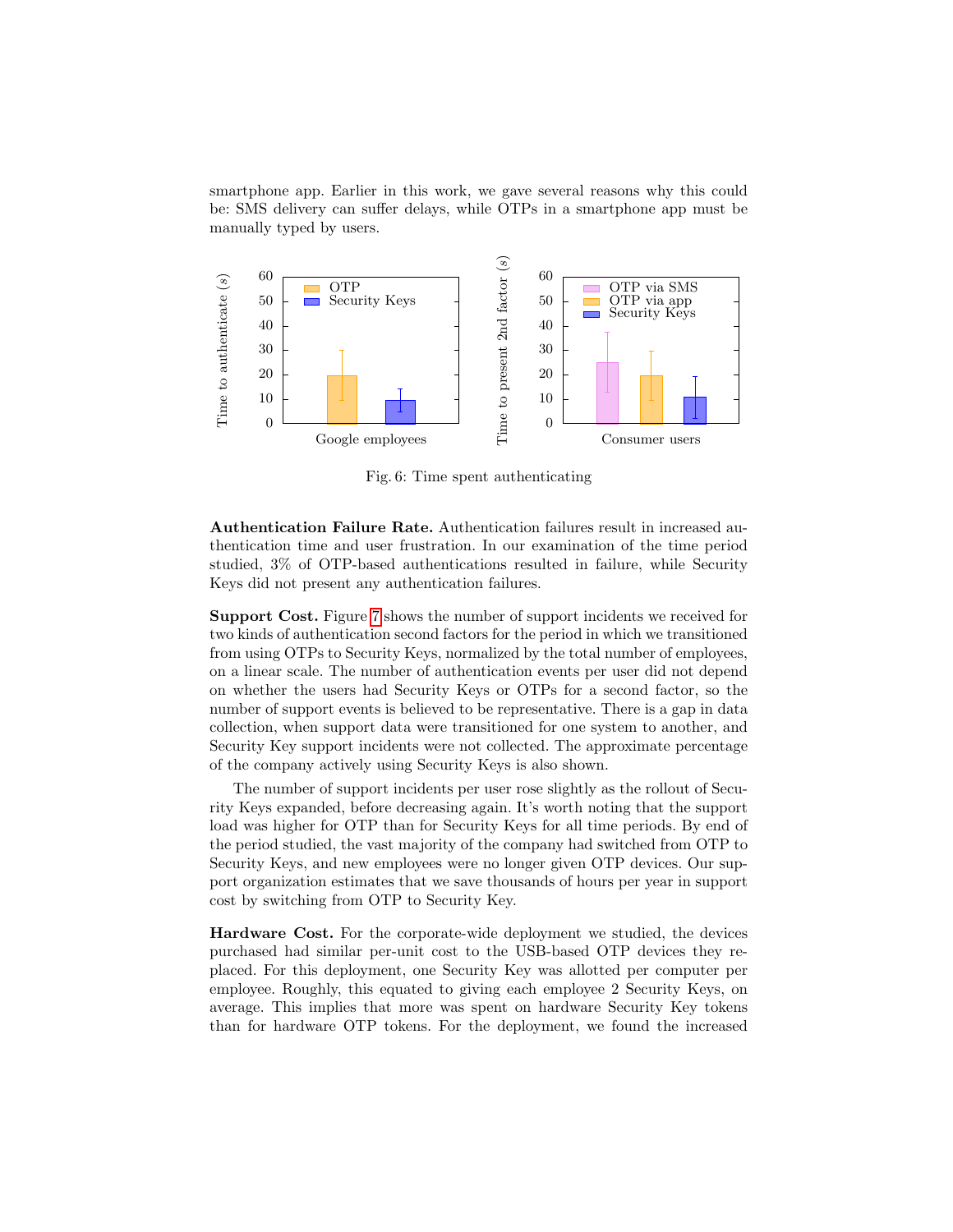smartphone app. Earlier in this work, we gave several reasons why this could be: SMS delivery can suffer delays, while OTPs in a smartphone app must be manually typed by users.

<span id="page-13-0"></span>

Fig. 6: Time spent authenticating

Authentication Failure Rate. Authentication failures result in increased authentication time and user frustration. In our examination of the time period studied, 3% of OTP-based authentications resulted in failure, while Security Keys did not present any authentication failures.

Support Cost. Figure [7](#page-14-1) shows the number of support incidents we received for two kinds of authentication second factors for the period in which we transitioned from using OTPs to Security Keys, normalized by the total number of employees, on a linear scale. The number of authentication events per user did not depend on whether the users had Security Keys or OTPs for a second factor, so the number of support events is believed to be representative. There is a gap in data collection, when support data were transitioned for one system to another, and Security Key support incidents were not collected. The approximate percentage of the company actively using Security Keys is also shown.

The number of support incidents per user rose slightly as the rollout of Security Keys expanded, before decreasing again. It's worth noting that the support load was higher for OTP than for Security Keys for all time periods. By end of the period studied, the vast majority of the company had switched from OTP to Security Keys, and new employees were no longer given OTP devices. Our support organization estimates that we save thousands of hours per year in support cost by switching from OTP to Security Key.

Hardware Cost. For the corporate-wide deployment we studied, the devices purchased had similar per-unit cost to the USB-based OTP devices they replaced. For this deployment, one Security Key was allotted per computer per employee. Roughly, this equated to giving each employee 2 Security Keys, on average. This implies that more was spent on hardware Security Key tokens than for hardware OTP tokens. For the deployment, we found the increased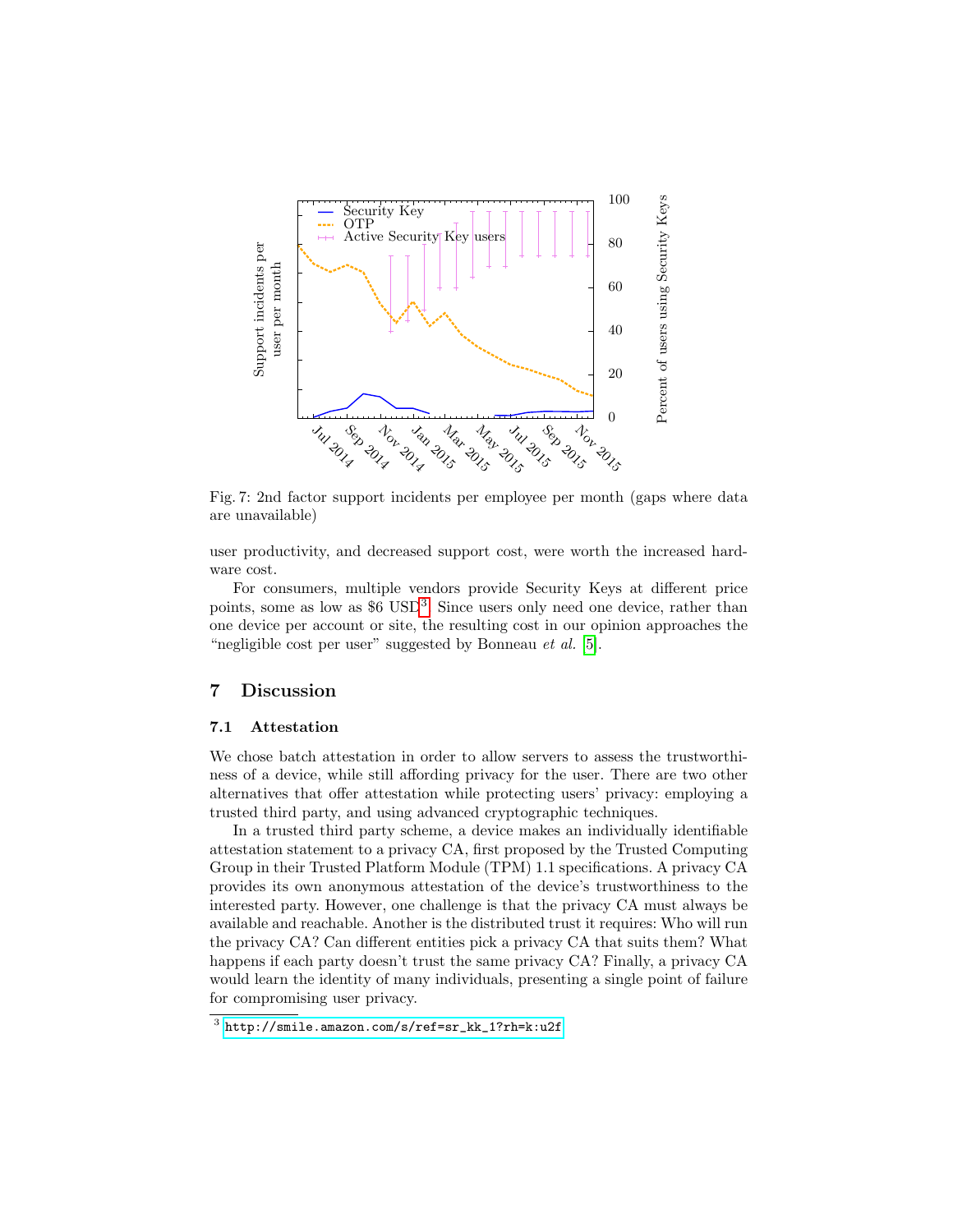<span id="page-14-1"></span>

Fig. 7: 2nd factor support incidents per employee per month (gaps where data are unavailable)

user productivity, and decreased support cost, were worth the increased hardware cost.

For consumers, multiple vendors provide Security Keys at different price points, some as low as \$6 USD<sup>[3](#page-14-2)</sup>. Since users only need one device, rather than one device per account or site, the resulting cost in our opinion approaches the "negligible cost per user" suggested by Bonneau  $et \ al.$  [\[5\]](#page-16-3).

# 7 Discussion

#### <span id="page-14-0"></span>7.1 Attestation

We chose batch attestation in order to allow servers to assess the trustworthiness of a device, while still affording privacy for the user. There are two other alternatives that offer attestation while protecting users' privacy: employing a trusted third party, and using advanced cryptographic techniques.

In a trusted third party scheme, a device makes an individually identifiable attestation statement to a privacy CA, first proposed by the Trusted Computing Group in their Trusted Platform Module (TPM) 1.1 specifications. A privacy CA provides its own anonymous attestation of the device's trustworthiness to the interested party. However, one challenge is that the privacy CA must always be available and reachable. Another is the distributed trust it requires: Who will run the privacy CA? Can different entities pick a privacy CA that suits them? What happens if each party doesn't trust the same privacy CA? Finally, a privacy CA would learn the identity of many individuals, presenting a single point of failure for compromising user privacy.

<span id="page-14-2"></span> $^3$  [http://smile.amazon.com/s/ref=sr\\_kk\\_1?rh=k:u2f](http://smile.amazon.com/s/ref=sr_kk_1?rh=k:u2f)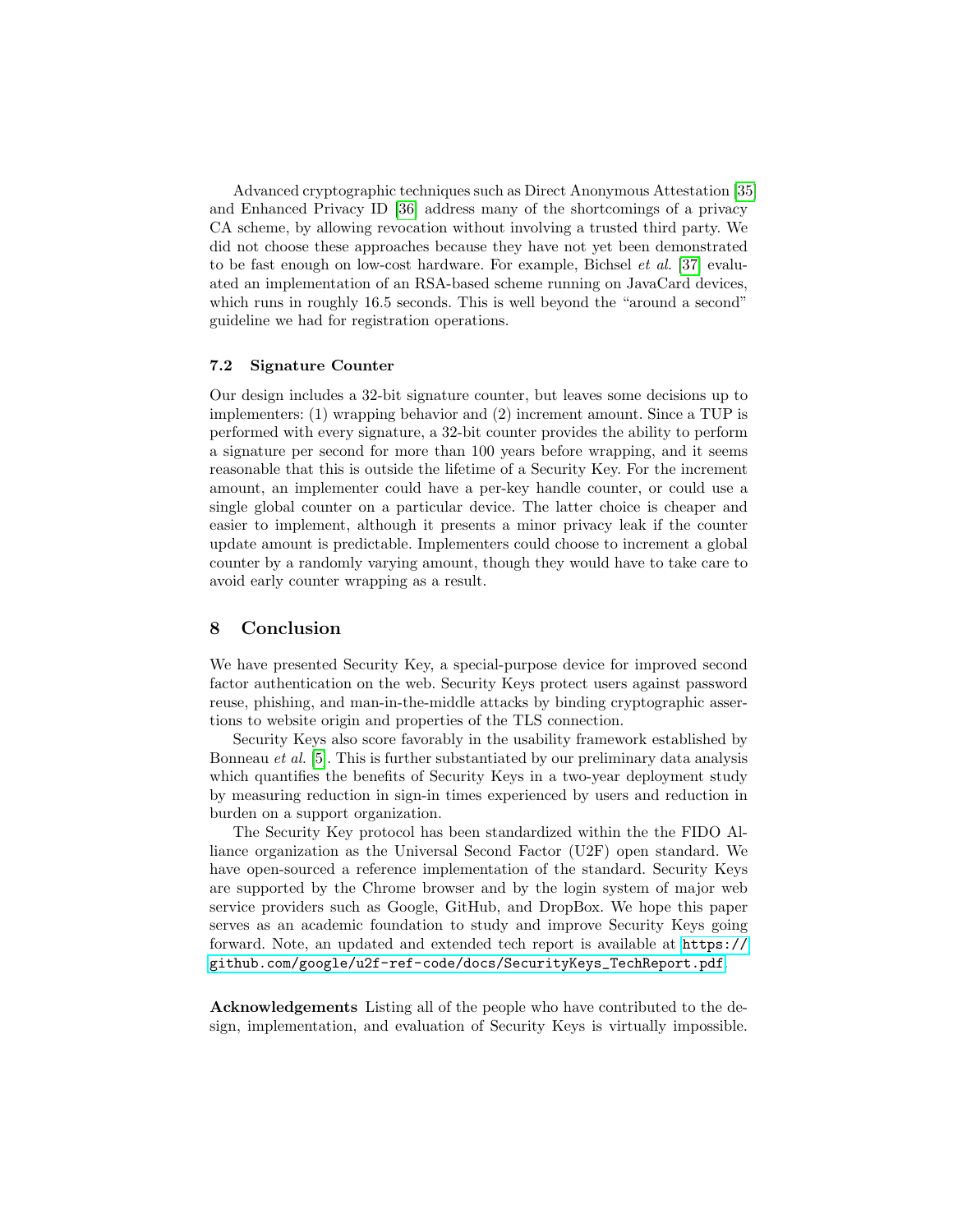Advanced cryptographic techniques such as Direct Anonymous Attestation [\[35\]](#page-17-18) and Enhanced Privacy ID [\[36\]](#page-17-19) address many of the shortcomings of a privacy CA scheme, by allowing revocation without involving a trusted third party. We did not choose these approaches because they have not yet been demonstrated to be fast enough on low-cost hardware. For example, Bichsel et al. [\[37\]](#page-17-20) evaluated an implementation of an RSA-based scheme running on JavaCard devices, which runs in roughly 16.5 seconds. This is well beyond the "around a second" guideline we had for registration operations.

#### <span id="page-15-0"></span>7.2 Signature Counter

Our design includes a 32-bit signature counter, but leaves some decisions up to implementers: (1) wrapping behavior and (2) increment amount. Since a TUP is performed with every signature, a 32-bit counter provides the ability to perform a signature per second for more than 100 years before wrapping, and it seems reasonable that this is outside the lifetime of a Security Key. For the increment amount, an implementer could have a per-key handle counter, or could use a single global counter on a particular device. The latter choice is cheaper and easier to implement, although it presents a minor privacy leak if the counter update amount is predictable. Implementers could choose to increment a global counter by a randomly varying amount, though they would have to take care to avoid early counter wrapping as a result.

# 8 Conclusion

We have presented Security Key, a special-purpose device for improved second factor authentication on the web. Security Keys protect users against password reuse, phishing, and man-in-the-middle attacks by binding cryptographic assertions to website origin and properties of the TLS connection.

Security Keys also score favorably in the usability framework established by Bonneau et al. [\[5\]](#page-16-3). This is further substantiated by our preliminary data analysis which quantifies the benefits of Security Keys in a two-year deployment study by measuring reduction in sign-in times experienced by users and reduction in burden on a support organization.

The Security Key protocol has been standardized within the the FIDO Alliance organization as the Universal Second Factor (U2F) open standard. We have open-sourced a reference implementation of the standard. Security Keys are supported by the Chrome browser and by the login system of major web service providers such as Google, GitHub, and DropBox. We hope this paper serves as an academic foundation to study and improve Security Keys going forward. Note, an updated and extended tech report is available at [https://](https://github.com/google/u2f-ref-code/docs/SecurityKeys_TechReport.pdf) [github.com/google/u2f-ref-code/docs/SecurityKeys\\_TechReport.pdf](https://github.com/google/u2f-ref-code/docs/SecurityKeys_TechReport.pdf).

Acknowledgements Listing all of the people who have contributed to the design, implementation, and evaluation of Security Keys is virtually impossible.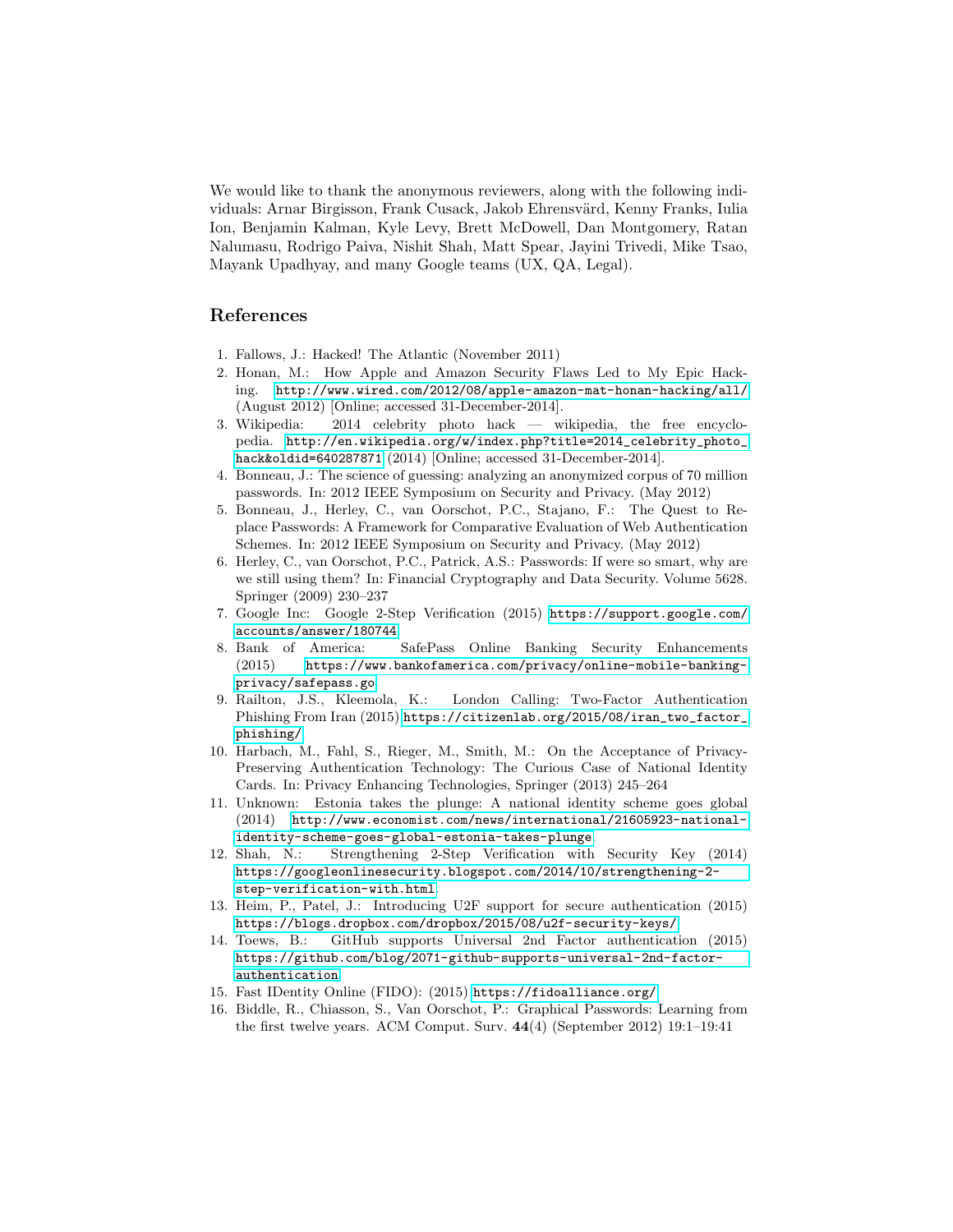We would like to thank the anonymous reviewers, along with the following individuals: Arnar Birgisson, Frank Cusack, Jakob Ehrensvärd, Kenny Franks, Iulia Ion, Benjamin Kalman, Kyle Levy, Brett McDowell, Dan Montgomery, Ratan Nalumasu, Rodrigo Paiva, Nishit Shah, Matt Spear, Jayini Trivedi, Mike Tsao, Mayank Upadhyay, and many Google teams (UX, QA, Legal).

# References

- <span id="page-16-0"></span>1. Fallows, J.: Hacked! The Atlantic (November 2011)
- 2. Honan, M.: How Apple and Amazon Security Flaws Led to My Epic Hacking. <http://www.wired.com/2012/08/apple-amazon-mat-honan-hacking/all/> (August 2012) [Online; accessed 31-December-2014].
- <span id="page-16-1"></span>3. Wikipedia: 2014 celebrity photo hack — wikipedia, the free encyclopedia. [http://en.wikipedia.org/w/index.php?title=2014\\_celebrity\\_photo\\_](http://en.wikipedia.org/w/index.php?title=2014_celebrity_photo_hack&oldid=640287871) [hack&oldid=640287871](http://en.wikipedia.org/w/index.php?title=2014_celebrity_photo_hack&oldid=640287871) (2014) [Online; accessed 31-December-2014].
- <span id="page-16-2"></span>4. Bonneau, J.: The science of guessing: analyzing an anonymized corpus of 70 million passwords. In: 2012 IEEE Symposium on Security and Privacy. (May 2012)
- <span id="page-16-3"></span>5. Bonneau, J., Herley, C., van Oorschot, P.C., Stajano, F.: The Quest to Replace Passwords: A Framework for Comparative Evaluation of Web Authentication Schemes. In: 2012 IEEE Symposium on Security and Privacy. (May 2012)
- <span id="page-16-4"></span>6. Herley, C., van Oorschot, P.C., Patrick, A.S.: Passwords: If were so smart, why are we still using them? In: Financial Cryptography and Data Security. Volume 5628. Springer (2009) 230–237
- <span id="page-16-5"></span>7. Google Inc: Google 2-Step Verification (2015) [https://support.google.com/](https://support.google.com/accounts/answer/180744) [accounts/answer/180744](https://support.google.com/accounts/answer/180744).
- <span id="page-16-6"></span>8. Bank of America: SafePass Online Banking Security Enhancements (2015) [https://www.bankofamerica.com/privacy/online-mobile-banking](https://www.bankofamerica.com/privacy/online-mobile-banking-privacy/safepass.go)[privacy/safepass.go](https://www.bankofamerica.com/privacy/online-mobile-banking-privacy/safepass.go).
- <span id="page-16-7"></span>9. Railton, J.S., Kleemola, K.: London Calling: Two-Factor Authentication Phishing From Iran (2015) [https://citizenlab.org/2015/08/iran\\_two\\_factor\\_](https://citizenlab.org/2015/08/iran_two_factor_phishing/) [phishing/](https://citizenlab.org/2015/08/iran_two_factor_phishing/).
- <span id="page-16-8"></span>10. Harbach, M., Fahl, S., Rieger, M., Smith, M.: On the Acceptance of Privacy-Preserving Authentication Technology: The Curious Case of National Identity Cards. In: Privacy Enhancing Technologies, Springer (2013) 245–264
- <span id="page-16-9"></span>11. Unknown: Estonia takes the plunge: A national identity scheme goes global (2014) [http://www.economist.com/news/international/21605923-national](http://www.economist.com/news/international/21605923-national-identity-scheme-goes-global-estonia-takes-plunge)[identity-scheme-goes-global-estonia-takes-plunge](http://www.economist.com/news/international/21605923-national-identity-scheme-goes-global-estonia-takes-plunge).
- <span id="page-16-10"></span>12. Shah, N.: Strengthening 2-Step Verification with Security Key (2014) [https://googleonlinesecurity.blogspot.com/2014/10/strengthening-2](https://googleonlinesecurity.blogspot.com/2014/10/strengthening-2-step-verification-with.html) [step-verification-with.html](https://googleonlinesecurity.blogspot.com/2014/10/strengthening-2-step-verification-with.html).
- <span id="page-16-11"></span>13. Heim, P., Patel, J.: Introducing U2F support for secure authentication (2015) <https://blogs.dropbox.com/dropbox/2015/08/u2f-security-keys/>.
- <span id="page-16-12"></span>14. Toews, B.: GitHub supports Universal 2nd Factor authentication (2015) [https://github.com/blog/2071-github-supports-universal-2nd-factor](https://github.com/blog/2071-github-supports-universal-2nd-factor-authentication)[authentication](https://github.com/blog/2071-github-supports-universal-2nd-factor-authentication).
- <span id="page-16-13"></span>15. Fast IDentity Online (FIDO): (2015) <https://fidoalliance.org/>.
- <span id="page-16-14"></span>16. Biddle, R., Chiasson, S., Van Oorschot, P.: Graphical Passwords: Learning from the first twelve years. ACM Comput. Surv. 44(4) (September 2012) 19:1–19:41